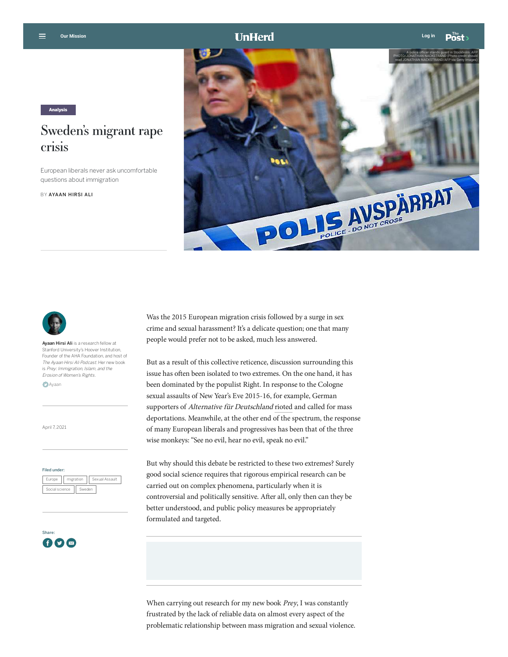

Analysis

## Sweden's migrant rape crisis

European liberals never ask uncomfortable questions about immigration

BY [AYAAN HIRSI ALI](https://unherd.com/author/ayaan-hirsi/)





Ayaan Hirsi Ali is a research fellow at Stanford University's Hoover Institution, Founder of the AHA Foundation, and host of The Ayaan Hirsi Ali Podcast. Her new book is Prey: Immigration, Islam, and the Erosion of Women's Rights.

**D**[Ayaan](http://twitter.com/Ayaan)

April 7, 2021

## Filed under:

| Europe         | migration |        | Sexual Assault |  |
|----------------|-----------|--------|----------------|--|
| Social science |           | Sweden |                |  |



Was the 2015 European migration crisis followed by a surge in sex crime and sexual harassment? It's a delicate question; one that many people would prefer not to be asked, much less answered.

But as a result of this collective reticence, discussion surrounding this issue has often been isolated to two extremes. On the one hand, it has been dominated by the populist Right. In response to the Cologne sexual assaults of New Year's Eve 2015-16, for example, German supporters of Alternative für Deutschland [rioted](https://www.reuters.com/article/us-germany-assaults/anti-migrant-protest-turns-violent-as-german-welcome-cools-idUSKCN0UN0JQ20160110) and called for mass deportations. Meanwhile, at the other end of the spectrum, the response of many European liberals and progressives has been that of the three wise monkeys: "See no evil, hear no evil, speak no evil."

But why should this debate be restricted to these two extremes? Surely good social science requires that rigorous empirical research can be carried out on complex phenomena, particularly when it is controversial and politically sensitive. After all, only then can they be better understood, and public policy measures be appropriately formulated and targeted.

When carrying out research for my new book Prey, I was constantly frustrated by the lack of reliable data on almost every aspect of the problematic relationship between mass migration and sexual violence.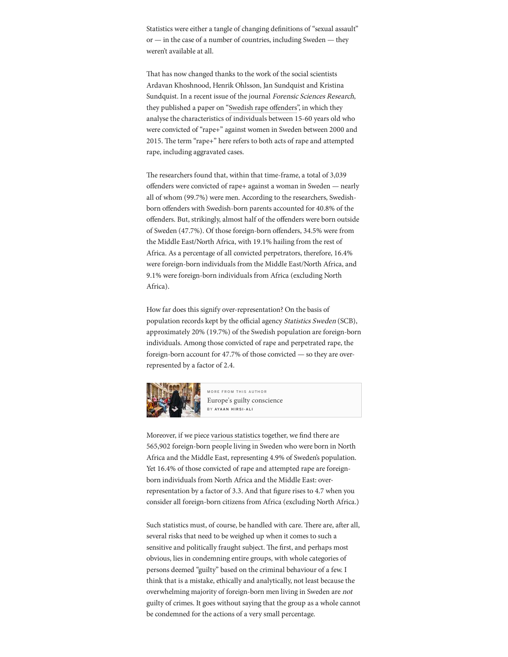Statistics were either a tangle of changing definitions of "sexual assault" or — in the case of a number of countries, including Sweden — they weren't available at all.

That has now changed thanks to the work of the social scientists Ardavan Khoshnood, Henrik Ohlsson, Jan Sundquist and Kristina Sundquist. In a recent issue of the journal Forensic Sciences Research, they published a paper on "Swedish rape offenders", in which they analyse the characteristics of individuals between 15-60 years old who were convicted of "rape+" against women in Sweden between 2000 and 2015. The term "rape+" here refers to both acts of rape and attempted rape, including aggravated cases.

The researchers found that, within that time-frame, a total of 3,039 offenders were convicted of rape+ against a woman in Sweden — nearly all of whom (99.7%) were men. According to the researchers, Swedishborn offenders with Swedish-born parents accounted for 40.8% of the offenders. But, strikingly, almost half of the offenders were born outside of Sweden (47.7%). Of those foreign-born offenders, 34.5% were from the Middle East/North Africa, with 19.1% hailing from the rest of Africa. As a percentage of all convicted perpetrators, therefore, 16.4% were foreign-born individuals from the Middle East/North Africa, and 9.1% were foreign-born individuals from Africa (excluding North Africa).

How far does this signify over-representation? On the basis of population records kept by the official agency *Statistics Sweden* (SCB), approximately 20% (19.7%) of the Swedish population are foreign-born individuals. Among those convicted of rape and perpetrated rape, the foreign-born account for 47.7% of those convicted — so they are overrepresented by a factor of 2.4.



M O R E F R O M THIS AUTHOR [Europe's guilty conscience](https://unherd.com/2021/03/europes-guilty-conscience/?=refinnar) BY AYAAN HIRSI-ALI

Moreover, if we piece [various statistics](https://www.scb.se/en/finding-statistics/statistics-by-subject-area/population/population-composition/population-statistics/pong/tables-and-graphs/yearly-statistics--the-whole-country/foreign-born-by-country-of-birth-sex-and-year-of-immigration-31-december-2020/) together, we find there are 565,902 foreign-born people living in Sweden who were born in North Africa and the Middle East, representing 4.9% of Sweden's population. Yet 16.4% of those convicted of rape and attempted rape are foreignborn individuals from North Africa and the Middle East: overrepresentation by a factor of 3.3. And that figure rises to 4.7 when you consider all foreign-born citizens from Africa (excluding North Africa.)

Such statistics must, of course, be handled with care. There are, after all, several risks that need to be weighed up when it comes to such a sensitive and politically fraught subject. The first, and perhaps most obvious, lies in condemning entire groups, with whole categories of persons deemed "guilty" based on the criminal behaviour of a few. I think that is a mistake, ethically and analytically, not least because the overwhelming majority of foreign-born men living in Sweden are not guilty of crimes. It goes without saying that the group as a whole cannot be condemned for the actions of a very small percentage.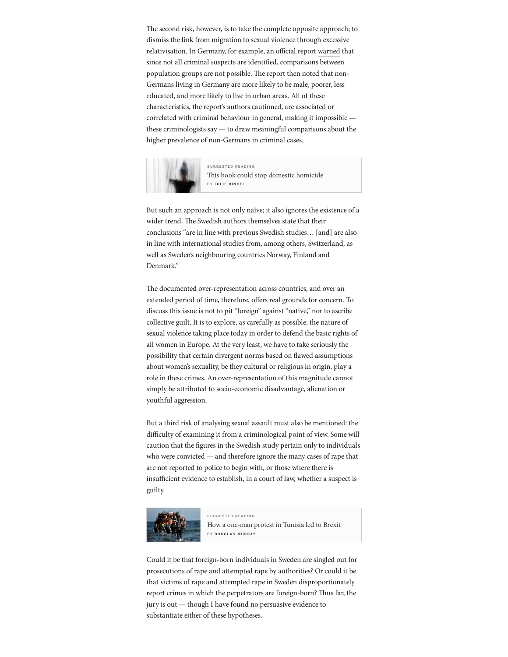The second risk, however, is to take the complete opposite approach; to dismiss the link from migration to sexual violence through excessive relativisation. In Germany, for example, an official report [warned](https://www.google.com/search?q=sweden+population&oq=sweden+populat&aqs=chrome.0.0i433j69i57j0j0i433j0l2j0i395l4.1807j1j7&sourceid=chrome&ie=UTF-8) that since not all criminal suspects are identified, comparisons between population groups are not possible. The report then noted that non-Germans living in Germany are more likely to be male, poorer, less educated, and more likely to live in urban areas. All of these characteristics, the report's authors cautioned, are associated or correlated with criminal behaviour in general, making it impossible these criminologists say — to draw meaningful comparisons about the higher prevalence of non-Germans in criminal cases.



[S U G G E S T E D R E A D I N G](https://unherd.com/2021/03/the-book-that-could-stop-domestic-homicide/?=refinnar) Th[is book could stop domestic homicide](https://unherd.com/2021/03/the-book-that-could-stop-domestic-homicide/?=refinnar) BY JULIE BINDEL

But such an approach is not only naïve; it also ignores the existence of a wider trend. The Swedish authors themselves state that their conclusions "are in line with previous Swedish studies… [and] are also in line with international studies from, among others, Switzerland, as well as Sweden's neighbouring countries Norway, Finland and Denmark."

The documented over-representation across countries, and over an extended period of time, therefore, offers real grounds for concern. To discuss this issue is not to pit "foreign" against "native," nor to ascribe collective guilt. It is to explore, as carefully as possible, the nature of sexual violence taking place today in order to defend the basic rights of all women in Europe. At the very least, we have to take seriously the possibility that certain divergent norms based on flawed assumptions about women's sexuality, be they cultural or religious in origin, play a role in these crimes. An over-representation of this magnitude cannot simply be attributed to socio-economic disadvantage, alienation or youthful aggression.

But a third risk of analysing sexual assault must also be mentioned: the difficulty of examining it from a criminological point of view. Some will caution that the figures in the Swedish study pertain only to individuals who were convicted — and therefore ignore the many cases of rape that are not reported to police to begin with, or those where there is insufficient evidence to establish, in a court of law, whether a suspect is guilty.



[S U G G E S T E D R E A D I N G](https://unherd.com/2020/12/how-a-one-man-protest-in-tunisia-led-to-brexit/?=refinnar) [How a one-man protest in Tunisia led to Brexit](https://unherd.com/2020/12/how-a-one-man-protest-in-tunisia-led-to-brexit/?=refinnar) BY DOUGLAS MURRAY

Could it be that foreign-born individuals in Sweden are singled out for prosecutions of rape and attempted rape by authorities? Or could it be that victims of rape and attempted rape in Sweden disproportionately report crimes in which the perpetrators are foreign-born? Thus far, the jury is out — though I have found no persuasive evidence to substantiate either of these hypotheses.